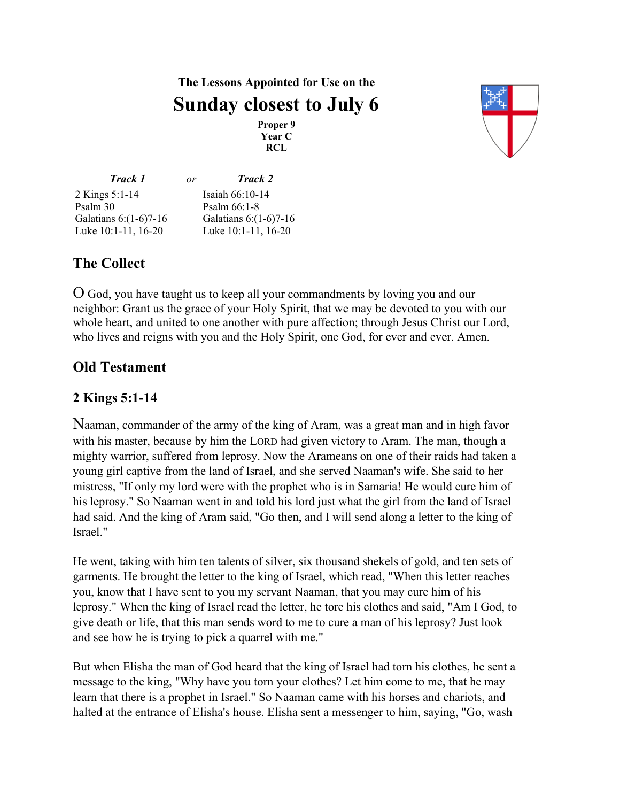# **The Lessons Appointed for Use on the Sunday closest to July 6**

**Proper 9 Year C RCL**

2 Kings 5:1-14 Psalm 30 Galatians 6:(1-6)7-16 Luke 10:1-11, 16-20

*Track 1 or Track 2* Isaiah 66:10-14 Psalm 66:1-8 Galatians 6:(1-6)7-16 Luke 10:1-11, 16-20

## **The Collect**

O God, you have taught us to keep all your commandments by loving you and our neighbor: Grant us the grace of your Holy Spirit, that we may be devoted to you with our whole heart, and united to one another with pure affection; through Jesus Christ our Lord, who lives and reigns with you and the Holy Spirit, one God, for ever and ever. Amen.

## **Old Testament**

### **2 Kings 5:1-14**

Naaman, commander of the army of the king of Aram, was a great man and in high favor with his master, because by him the LORD had given victory to Aram. The man, though a mighty warrior, suffered from leprosy. Now the Arameans on one of their raids had taken a young girl captive from the land of Israel, and she served Naaman's wife. She said to her mistress, "If only my lord were with the prophet who is in Samaria! He would cure him of his leprosy." So Naaman went in and told his lord just what the girl from the land of Israel had said. And the king of Aram said, "Go then, and I will send along a letter to the king of Israel."

He went, taking with him ten talents of silver, six thousand shekels of gold, and ten sets of garments. He brought the letter to the king of Israel, which read, "When this letter reaches you, know that I have sent to you my servant Naaman, that you may cure him of his leprosy." When the king of Israel read the letter, he tore his clothes and said, "Am I God, to give death or life, that this man sends word to me to cure a man of his leprosy? Just look and see how he is trying to pick a quarrel with me."

But when Elisha the man of God heard that the king of Israel had torn his clothes, he sent a message to the king, "Why have you torn your clothes? Let him come to me, that he may learn that there is a prophet in Israel." So Naaman came with his horses and chariots, and halted at the entrance of Elisha's house. Elisha sent a messenger to him, saying, "Go, wash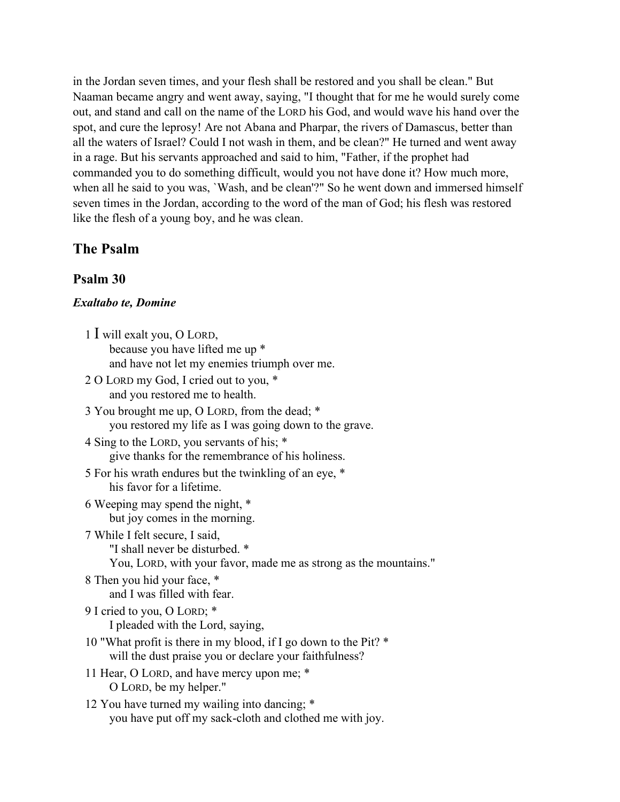in the Jordan seven times, and your flesh shall be restored and you shall be clean." But Naaman became angry and went away, saying, "I thought that for me he would surely come out, and stand and call on the name of the LORD his God, and would wave his hand over the spot, and cure the leprosy! Are not Abana and Pharpar, the rivers of Damascus, better than all the waters of Israel? Could I not wash in them, and be clean?" He turned and went away in a rage. But his servants approached and said to him, "Father, if the prophet had commanded you to do something difficult, would you not have done it? How much more, when all he said to you was, `Wash, and be clean'?" So he went down and immersed himself seven times in the Jordan, according to the word of the man of God; his flesh was restored like the flesh of a young boy, and he was clean.

#### **The Psalm**

#### **Psalm 30**

#### *Exaltabo te, Domine*

| $1$ I will exalt you, O LORD,<br>because you have lifted me up *<br>and have not let my enemies triumph over me.                     |
|--------------------------------------------------------------------------------------------------------------------------------------|
| 2 O LORD my God, I cried out to you, *<br>and you restored me to health.                                                             |
| 3 You brought me up, O LORD, from the dead; *<br>you restored my life as I was going down to the grave.                              |
| 4 Sing to the LORD, you servants of his; *<br>give thanks for the remembrance of his holiness.                                       |
| 5 For his wrath endures but the twinkling of an eye, *<br>his favor for a lifetime.                                                  |
| 6 Weeping may spend the night, *<br>but joy comes in the morning.                                                                    |
| 7 While I felt secure, I said,<br>"I shall never be disturbed. *<br>You, LORD, with your favor, made me as strong as the mountains." |
| 8 Then you hid your face, *<br>and I was filled with fear.                                                                           |
| 9 I cried to you, O LORD; *<br>I pleaded with the Lord, saying,                                                                      |
| 10 "What profit is there in my blood, if I go down to the Pit? *<br>will the dust praise you or declare your faithfulness?           |
| 11 Hear, O LORD, and have mercy upon me; *<br>O LORD, be my helper."                                                                 |
| 12 You have turned my wailing into dancing; *<br>you have put off my sack-cloth and clothed me with joy.                             |
|                                                                                                                                      |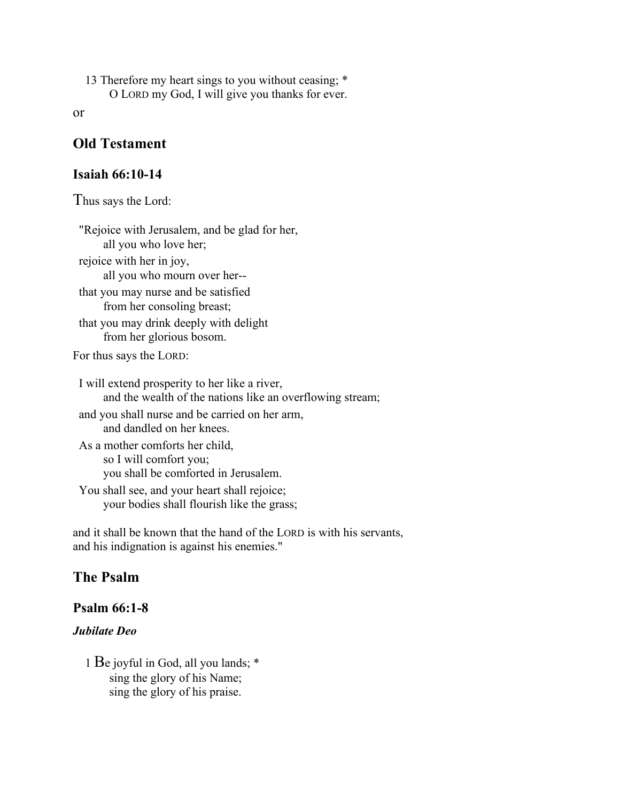13 Therefore my heart sings to you without ceasing; \* O LORD my God, I will give you thanks for ever.

or

#### **Old Testament**

#### **Isaiah 66:10-14**

Thus says the Lord:

"Rejoice with Jerusalem, and be glad for her, all you who love her; rejoice with her in joy, all you who mourn over her- that you may nurse and be satisfied

from her consoling breast;

that you may drink deeply with delight from her glorious bosom.

For thus says the LORD:

I will extend prosperity to her like a river, and the wealth of the nations like an overflowing stream; and you shall nurse and be carried on her arm, and dandled on her knees. As a mother comforts her child, so I will comfort you; you shall be comforted in Jerusalem. You shall see, and your heart shall rejoice; your bodies shall flourish like the grass;

and it shall be known that the hand of the LORD is with his servants, and his indignation is against his enemies."

### **The Psalm**

#### **Psalm 66:1-8**

#### *Jubilate Deo*

1 Be joyful in God, all you lands; \* sing the glory of his Name; sing the glory of his praise.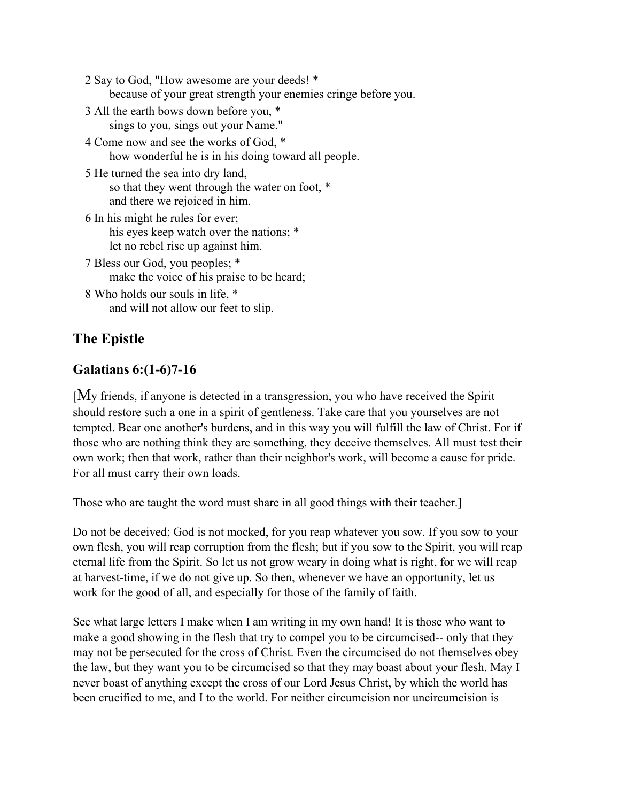| 2 Say to God, "How awesome are your deeds! *<br>because of your great strength your enemies cringe before you.        |
|-----------------------------------------------------------------------------------------------------------------------|
| 3 All the earth bows down before you, *<br>sings to you, sings out your Name."                                        |
| 4 Come now and see the works of God, *<br>how wonderful he is in his doing toward all people.                         |
| 5 He turned the sea into dry land,<br>so that they went through the water on foot, *<br>and there we rejoiced in him. |
| 6 In his might he rules for ever;<br>his eyes keep watch over the nations; *<br>let no rebel rise up against him.     |
| 7 Bless our God, you peoples; *<br>make the voice of his praise to be heard;                                          |
| 8 Who holds our souls in life, *<br>and will not allow our feet to slip.                                              |
| <b>The Epistle</b>                                                                                                    |

# **Galatians 6:(1-6)7-16**

[My friends, if anyone is detected in a transgression, you who have received the Spirit should restore such a one in a spirit of gentleness. Take care that you yourselves are not tempted. Bear one another's burdens, and in this way you will fulfill the law of Christ. For if those who are nothing think they are something, they deceive themselves. All must test their own work; then that work, rather than their neighbor's work, will become a cause for pride. For all must carry their own loads.

Those who are taught the word must share in all good things with their teacher.]

Do not be deceived; God is not mocked, for you reap whatever you sow. If you sow to your own flesh, you will reap corruption from the flesh; but if you sow to the Spirit, you will reap eternal life from the Spirit. So let us not grow weary in doing what is right, for we will reap at harvest-time, if we do not give up. So then, whenever we have an opportunity, let us work for the good of all, and especially for those of the family of faith.

See what large letters I make when I am writing in my own hand! It is those who want to make a good showing in the flesh that try to compel you to be circumcised-- only that they may not be persecuted for the cross of Christ. Even the circumcised do not themselves obey the law, but they want you to be circumcised so that they may boast about your flesh. May I never boast of anything except the cross of our Lord Jesus Christ, by which the world has been crucified to me, and I to the world. For neither circumcision nor uncircumcision is